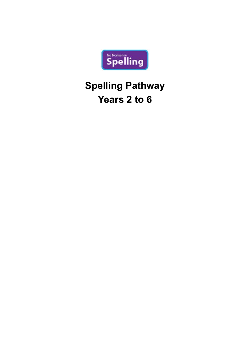

# **Spelling Pathway Years 2 to 6**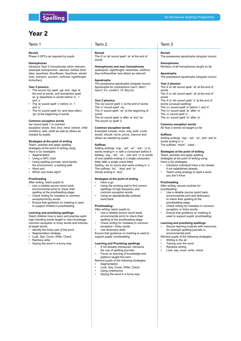### Term 1 Term 2 Term 2 Term 3

### **Revisit**

Phase 5 GPCs as required by pupils

### **Homophones**

Introduce Year 2 homophones when relevant. (example homophones: *see/sea, be/bee blue/ blew, bear/bare, flour/flower, hear/here, whole/ hole, one/won, sun/son, no/know, night/knight, to/too/two*)

### **Year 2 phonics**

- The sound /dʒ/ spelt '-ge' and '-dge' at the end of words, and sometimes spelt as 'g' elsewhere in words before 'e', 'i' and 'y'.
- The /s/ sound spelt 'c' before 'e', 'i and 'y'
- The /n/ sound spelt 'kn' and (less often) 'gn' at the beginning of words

### **Common exception words**

/aɪ/ sound spelt 'i' in common exception words: *find, kind, mind, behind, child (children), wild, climb* as well as others as needed by pupils.

### **Strategies at the point of writing**

Teach, practise and apply spelling strategies at the point of writing using Have a Go strategies:

- **Segmentation**
- Using a GPC chart
- • Using spelling journals, word banks, the environment, a working wall.
- Word sort
- Which one looks right?

### **Proofreading**

- After writing, teach pupils to: Use a reliable source (word bank, environmental print) to check their
- spelling at the proofreading stage. Check writing for mistakes in common exception/tricky words.
- Ensure that guidance on marking is used to support children's proofreading.

### **Learning and practising spellings**

Teach children how to learn and practise spellings including words taught in new knowledge, common exception or tricky words and individual target words.

- • Identify the tricky part of the word
- Segmentation strategy
- Look, Say, Cover, Write, Check
- Rainbow write
- Saying the word in a funny way

### **Revisit**

The /l/ or /əl/ sound spelt '-le' at the end of words

**Homophones and near homophones** *quite/quiet, night/knight, new/knew, not/knot, they're/there/their* and others as relevant

### **Apostrophe**

The possessive apostrophe (singular nouns) Apostrophe for contractions (*can't, didn't, hasn't, it's, couldn't, I'll, they're*)

### **Year 2 phonics**

The /aɪ/ sound spelt 'y' at the end of words The /i:/ sound spelt '-ey' The /r/ sound spelt '-wr' at the beginning of words The /ɒ/ sound spelt 'a' after 'w' and 'qu' The sound /ʒ/ spelt 's'

### **Common exception words**

Examples include: *most, only, both, could, would, should, move, prove, improve* and others as needed by pupils

### **Suffixes**

Adding endings '-ing-, '-ed', '-er', '-est', '-y' to words ending in 'e' with a consonant before it Adding '-ing-, '-ed', '-er', '-est' and '-y' to words of one syllable ending in a single consonant letter after a single vowel letter Adding '-es' to nouns and verbs ending in 'y' The suffixes '-ful' , '-less' and '-ly' Words ending in '-tion'

### **Strategies at the point of writing** • Have a go

- Using the working wall to find correct spellings of high frequency and common exception words
- Using an alphabetically-ordered word bank

### **Proofreading:**

- After writing, teach pupils to: Use a reliable source (word bank, environmental print) to check their spelling at the proofreading stage.
- Check writing for mistakes in common exception / tricky words.
- Use dictionary skills

Ensure that guidance on marking is used to support pupils' proofreading.

### **Learning and Practising spellings**

- If not already introduced, introduce the use of spelling journals.
- Focus on learning of knowledge and patterns taught this term

Remind pupils of the following strategies: **Segmentation** 

- Look, Say, Cover, Write, Check
- Using mnemonics
- Saying the word in a funny way

### **Revisit**

The possessive apostrophe (singular nouns)

### **Homophones**

Revision of all homophones taught so far

### **Apostrophe**

The possessive apostrophe (singular nouns)

### **Year 2 phonics**

The /l/ or /əl/ sound spelt '-el' at the end of words The /l/ or /əl/ sound spelt '-al' at the end of words The /l/ or /əl/ sound spelt '-il' at the end of words (unusual spelling) The /ɔ:/ sound spelt 'a' before 'l' and 'll' The /ɔ:/ sound spelt 'ar' after 'w' The /ʌ/ sound spelt 'o' The /ɜ:/ sound spelt 'or' after 'w'

### **Common exception words**

All Year 2 words not taught so far

### **Suffixes**

Adding endings '-ing', '-ed', '-er', and '-est' to words ending in 'y' The suffixes '-ment', '-ness',

### **Strategies at the point of writing**

Teach, practise and apply spelling strategies at the point of writing using Have a Go strategies

- Introduce individual Have a Go sheets if not established already
- Teach using analogy to spell a word you don't know

### **Proofreading**

After writing, secure routines for proofreading:

- Use a reliable source (word bank, environmental print and dictionary) to check their spelling at the proofreading stage.
- • Check writing for mistakes in common exception or tricky words.
- Ensure that quidance on marking is used to support pupils' proofreading.

### **Learning and practising spellings**

Secure learning routines with resources, for example spelling journals or environmental print.

Remind pupils of the following strategies:

- Writing in the air Tracing over the word
- Rainbow writing
- Look, say, cover, write, check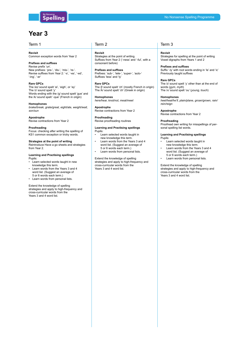### Term 1 Term 2 Term 2 Term 3

### **Revisit**

Common exception words from Year 2

### **Prefixes and suffixes**

Revise prefix 'un'. New prefixes: 'pre-', 'dis-', 'mis-', 're-'. Revise suffixes from Year 2: '-s', '-es', '-ed', '-ing', '-er'

### **Rare GPCs**

The /eɪ/ sound spelt 'ei', 'eigh', or 'ey' The /ɪ/ sound spelt 'y' Words ending with the /g/ sound spelt 'gue' and the /k/ sound spelt '-que' (French in origin)

### **Homophones**

*brake/break, grate/great, eight/ate, weight/wait, son/sun*

### **Apostrophe**

Revise contractions from Year 2

### **Proofreading**

Focus: checking after writing the spelling of KS1 common exception or tricky words.

### **Strategies at the point of writing** Reintroduce Have a go sheets and strategies from Year 2.

### **Learning and Practising spellings** Pupils:

- Learn selected words taught in new knowledge this term.
- Learn words from the Years 3 and 4 word list. (Suggest an average of 5 or 6 words each term.)
- Learn words from personal lists.

### Extend the knowledge of spelling

strategies and apply to high-frequency and cross-curricular words from the Years 3 and 4 word list.

**Revisit** Strategies at the point of writing. Suffixes from Year 2 ('-ness' and '-ful', with a consonant before)

**Prefixes and suffixes** Prefixes: 'sub-', 'tele-', 'super-', 'auto-' Suffixes 'less' and 'ly'

**Rare GPCs** The /ʃ/ sound spelt 'ch' (mostly French in origin) The /k/ sound spelt 'ch' (Greek in origin)

**Homophones** *here/hear, knot/not, meat/meet*

**Apostrophe** Revise contractions from Year 2

**Proofreading** Revise proofreading routines

### **Learning and Practising spellings** Pupils:

- Learn selected words taught in new knowledge this term.
- Learn words from the Years 3 and 4 word list. (Suggest an average of 5 or 6 words each term.)
- Learn words from personal lists.

Extend the knowledge of spelling strategies and apply to high-frequency and cross-curricular words from the Years 3 and 4 word list.

**Revisit** Strategies for spelling at the point of writing Vowel digraphs from Years 1 and 2

**Prefixes and suffixes** Suffix '-ly' with root words ending in 'le' and 'ic' Previously taught suffixes

**Rare GPCs** The /ɪ/ sound spelt 'y' other than at the end of words (*gym, myth*) The /ʌ/ sound spelt 'ou' (*young, touch*)

**Homophones** *heel/heal/he'll, plain/plane, groan/grown, rain/ rein/reign*

**Apostrophe** Revise contractions from Year 2

### **Proofreading**

Proofread own writing for misspellings of personal spelling list words.

### **Learning and Practising spellings**

- Pupils: • Learn selected words taught in new knowledge this term.
- Learn words from the Years 3 and 4 word list. (Suggest an average of 5 or 6 words each term.)
- Learn words from personal lists.

Extend the knowledge of spelling strategies and apply to high-frequency and cross-curricular words from the Years 3 and 4 word list.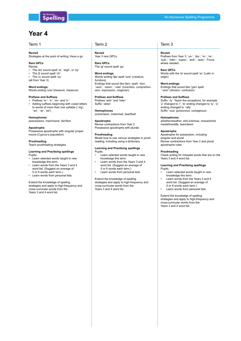

### Term 1 Term 2 Term 2 Term 3

### **Revisit**

Strategies at the point of writing: Have a go

### **Rare GPCs**

- Revise: The /eɪ/ sound spelt 'ei', 'eigh', or 'ey'
- The /f/ sound spelt 'ch'
- The  $\sqrt{\ }$  sound spelt 'ou'
- (all from Year 3)
- 

**Word endings:** Words ending /ure/ (*treasure, measure*)

### **Prefixes and Suffixes**

- Prefixes 'in-', 'il-', 'im-' and 'ir-'
- Adding suffixes beginning with vowel letters to words of more than one syllable ('-ing', '-en', '-er', 'ed')

### **Homophones**

*peace/piece, main/mane, fair/fare*

### **Apostrophe**

Possessive apostrophe with singular proper nouns (*Cyprus's population*)

### **Proofreading**

Teach proofreading strategies

### **Learning and Practising spellings** Pupils:

- Learn selected words taught in new knowledge this term.
- Learn words from the Years 3 and 4 word list. (Suggest an average of 5 or 6 words each term.)
- Learn words from personal lists.

### Extend the knowledge of spelling strategies and apply to high-frequency and cross-curricular words from the Years 3 and 4 word list.

**Revisit** Year 3 rare GPCs

**Rare GPCs** The /g/ sound spelt 'gu'

### **Word endings**

Words ending /tʃə/ spelt 'ture' (*creature, furniture*) Endings that sound like /ʃən/, spelt '-tion', '-sion', '-ssion', '-cian' (*invention, comprehension, expression, magician*)

### **Prefixes and Suffixes**

Prefixes 'anti-' and 'inter-' Suffix '-ation'

### **Homophones**

*scene/seen, male/mail, bawl/ball*

### **Apostrophe**

Revise contractions from Year 2 Possessive apostrophe with plurals

### **Proofreading**

Model how to use various strategies in proofreading, including using a dictionary.

### **Learning and Practising spellings** Pupils:

- Learn selected words taught in new knowledge this term.
- Learn words from the Years 3 and 4 word list. (Suggest an average of 5 or 6 words each term.)
- Learn words from personal lists.

Extend the knowledge of spelling strategies and apply to high-frequency and cross-curricular words from the Years 3 and 4 word list.

### **Revisit**

Prefixes from Year 3: 'un-', 'dis-', 'in-', 're-', 'sub-', 'inter-', 'super-', 'anti-', 'auto-'. Focus where needed.

### **Rare GPCs**

Words with the /s/ sound spelt 'sc' (Latin in origin)

### **Word endings**

Endings that sound like /ʒən/ spelt '-sion' (*division, confusion*)

### **Prefixes and Suffixes**

Suffix '-ly'. Teach the exceptions, for example 'y' changed to 'i', 'le' ending changed to 'ly', 'ic' ending changed to '-ally' Suffix '-ous' (*poisonous, outrageous*)

### **Homophones**

*whether/weather, who's/whose, missed/mist, medal/meddle, team/teem*

### **Apostrophe**

Apostrophe for possession, including singular and plural Revise contractions from Year 2 and plural apostrophe rules

### **Proofreading**

Check writing for misspelt words that are on the Years 3 and 4 word list.

### **Learning and Practising spellings**

- Pupils: • Learn selected words taught in new knowledge this term.
- Learn words from the Years 3 and 4 word list. (Suggest an average of 5 or 6 words each term.)
- Learn words from personal lists.

Extend the knowledge of spelling strategies and apply to high-frequency and cross-curricular words from the Years 3 and 4 word list.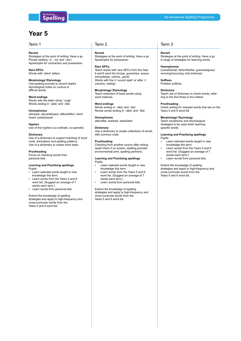## **Year 5**

### **Revisit**

Strategies at the point of writing: Have a go Plurals (adding '-s', '-es' and '-ies') Apostrophe for contraction and possession

**Rare GPCs** Words with 'silent' letters

### **Morphology/ Etymology**

Use spelling journals to record helpful etymological notes on curious or difficult words

**Word endings** Words with the letter string '-ough' Words ending in '-able' and '-ible'

**Homophones** *isle/aisle, aloud/allowed, affect/effect, herd/ heard, past/passed*

**Hyphen** Use of the hyphen (*co-ordinate, co-operate*)

### **Dictionary**

Use of a dictionary to support teaching of word roots, derivations and spelling patterns Use of a dictionary to create word webs

### **Proofreading**

Focus on checking words from personal lists.

### **Learning and Practising spellings**

Pupils:

- Learn selected words taught in new knowledge this term.
- Learn words from the Years 5 and 6 word list. (Suggest an average of 7 words each term.)
- Learn words from personal lists.

Extend the knowledge of spelling strategies and apply to high-frequency and cross-curricular words from the Years 5 and 6 word list.

### Term 1 Term 2 Term 2 Term 3

### **Revisit**

Strategies at the point of writing: Have a go Apostrophe for possession

**Rare GPCs**

Teach words with rare GPCs from the Year 5 and 6 word list (*bruise, guarantee, queue, immediately, vehicle, yacht*) Words with the /i:/ sound spelt 'ei' after 'c' (*receive, ceiling*)

### **Morphology/ Etymology**

Teach extension of base words using word matrices.

### **Word endings**

Words ending in '-ably' and '-ibly' Revise words ending in '-able' and '-ible'

**Homophones** *altar/alter, led/lead, steal/steel*

### **Dictionary**

Use a dictionary to create collections of words with common roots

### **Proofreading**

Checking from another source after writing (spell check if on screen, spelling journals, environmental print, spelling partners)

### **Learning and Practising spellings** Pupils:

- Learn selected words taught in new knowledge this term.
- Learn words from the Years 5 and 6 word list. (Suggest an average of 7 words each term.)
- Learn words from personal lists.

Extend the knowledge of spelling strategies and apply to high-frequency and cross-curricular words from the Years 5 and 6 word list.

### **Revisit** Strategies at the point of writing: Have a go A range of strategies for learning words

**Homophones** (*cereal/serial, father/farther, guessed/guest, morning/mourning, who's/whose*)

**Suffixes** Problem suffixes

**Dictionary**

Teach use of dictionary to check words, referring to the first three or four letters

### **Proofreading**

Check writing for misspelt words that are on the Years 5 and 6 word list

### **Morphology/ Etymology**

Teach morphemic and etymological strategies to be used when learning specific words

### **Learning and Practising spellings**

- Pupils: • Learn selected words taught in new knowledge this term.
- Learn words from the Years 5 and 6 word list. (Suggest an average of 7 words each term.)
- Learn words from personal lists.

Extend the knowledge of spelling strategies and apply to high-frequency and cross-curricular words from the Years 5 and 6 word list.